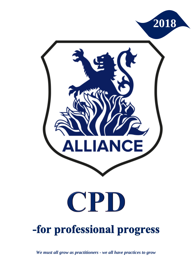

*We must all grow as practitioners - we all have practices to grow*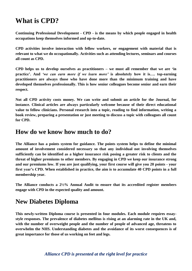# **What is CPD?**

**Continuing Professional Development - CPD - is the means by which people engaged in health occupations keep themselves informed and up-to-date.**

**CPD activities involve interaction with fellow workers, or engagement with material that is relevant to what we do occupationally. Activities such as attending lectures, seminars and courses all count as CPD.**

**CPD helps us to develop ourselves as practitioners – we must all remember that we are 'in practice'. And** *'we can earn more if we learn more'* **is absolutely how it is…. top-earning practitioners are always those who have done more than the minimum training and have developed themselves professionally. This is how senior colleagues become senior and earn their respect.**

**Not all CPD activity costs money. We can write and submit an article for the Journal, for instance. Clinical articles are always particularly welcome because of their direct educational value to fellow clinicians. Personal research into a topic, reading to find information, writing a book review, preparing a presentation or just meeting to discuss a topic with colleagues all count for CPD.**

## **How do we know how much to do?**

**The Alliance has a points system for guidance. The points system helps to define the minimal amount of involvement considered necessary so that any individual not involving themselves sufficiently can be identified as a higher insurance risk posing a greater risk to clients and the threat of higher premiums to other members. By engaging in CPD we keep our insurance strong and our premiums low. If you are just qualifying, your first course will give you 20 points - your first year's CPD. When established in practice, the aim is to accumulate 40 CPD points in a full membership year.**

**The Alliance conducts a 2½% Annual Audit to ensure that its accredited register members engage with CPD in the expected quality and amount.**

## **New Diabetes Diploma**

**This newly-written Diploma course is presented in four modules. Each module requires essaystyle responses. The prevalence of diabetes mellitus is rising at an alarming rate in the UK and, with the number of overweight people and the number of people of advanced age, threatens to overwhelm the NHS. Understanding diabetes and the avoidance of its worst consequences is of great importance for those of us working on feet and legs.**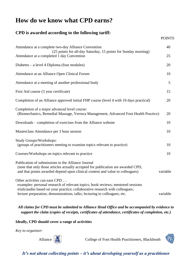# **How do we know what CPD earns?**

### **CPD is awarded according to the following tariff:**

| Attendance at a complete two-day Alliance Convention                                                                                                                                                                                                                           | 40       |
|--------------------------------------------------------------------------------------------------------------------------------------------------------------------------------------------------------------------------------------------------------------------------------|----------|
| (25 points for all-day Saturday, 15 points for Sunday morning)<br>Attendance at a completed 1 day Convention                                                                                                                                                                   | 25       |
| Diabetes $-$ a level 4 Diploma (four modules)                                                                                                                                                                                                                                  | 20       |
| Attendance at an Alliance Open Clinical Forum                                                                                                                                                                                                                                  | 10       |
| Attendance at a meeting of another professional body                                                                                                                                                                                                                           | 5        |
| First Aid course (3 year certificate)                                                                                                                                                                                                                                          | 15       |
| Completion of an Alliance approved initial FHP course (level 4 with 10 days practical)                                                                                                                                                                                         | 20       |
| Completion of a major advanced level course:<br>(Biomechanics, Remedial Massage, Verruca Management, Advanced Foot Health Practice)                                                                                                                                            | 20       |
| Downloads – completion of exercises from the Alliance website                                                                                                                                                                                                                  | 10       |
| Masterclass Attendance per 3 hour session                                                                                                                                                                                                                                      | 10       |
| Study Groups/Workshops:<br>(groups of practitioners meeting to examine topics relevant to practice)                                                                                                                                                                            | 10       |
| Courses/Workshops on topics relevant to practice                                                                                                                                                                                                                               | 10       |
| Publication of submissions to the Alliance Journal<br>(note that only those articles actually accepted for publication are awarded CPD,<br>and that points awarded depend upon clinical content and value to colleagues)                                                       | variable |
| Other activities can earn CPD<br>examples: personal research of relevant topics; book reviews; mentored sessions<br>trials/audits based on your practice; collaborative research with colleagues;<br>lecture preparation; demonstrations; talks; lecturing to colleagues; etc. | variable |

*All claims for CPD must be submitted to Alliance Head Office and be accompanied by evidence to support the claim (copies of receipts, certificates of attendance, certificates of completion, etc.)*

#### **Ideally, CPD should cover a range of activities**

*Key to organiser:*

Alliance  $\sum_{k=1}^{\infty}$  College of Foot Health Practitioners, Blackheath



POINTS

*It's not about collecting points – it's about developing yourself as a practitioner*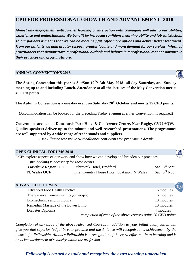### **CPD FOR PROFESSIONAL GROWTH AND ADVANCEMENT–2018**

*Almost any engagement with further learning or interaction with colleagues will add to our abilities, experience and understanding. We benefit by increased confidence, earning ability and job satisfaction. To our patients it means that we can be more helpful, offer more options and deliver better treatment. From our patients we gain greater respect, greater loyalty and more demand for our services. Informed practitioners that demonstrate a professional outlook and behave in a professional manner advance in their practices and grow in stature.*

#### **ANNUAL CONVENTIONS 2018**

**The Spring Convention this year is Sat/Sun 12th/13th May 2018 -all day Saturday, and Sunday morning up to and including Lunch. Attendance at all the lectures of the May Convention merits 40 CPD points.**

**The Autumn Convention is a one day event on Saturday 20th October and merits 25 CPD points.**

(Accommodation can be booked for the preceding Friday evening at either Convention, if required)

**Conventions are held at Dunchurch Park Hotel & Conference Centre, Near Rugby, CV22 6QW. Quality speakers deliver up-to-the-minute and well-researched presentations. The programmes are well supported by a wide range of trade stands and suppliers.**

*– see Alliance website www thealliance.com/events for programme details*

|                           | <b>ALLIANCE</b>                                                                                                                         |
|---------------------------|-----------------------------------------------------------------------------------------------------------------------------------------|
|                           |                                                                                                                                         |
|                           |                                                                                                                                         |
|                           | Sat $8^{th}$ Sept                                                                                                                       |
|                           | Sat $3^{\text{rd}}$ Nov                                                                                                                 |
|                           |                                                                                                                                         |
| Dubrovnik Hotel, Bradford | OCFs explore aspects of our work and show how we can develop and broaden our practices:<br>Oriel Country House Hotel, St Asaph, N Wales |

| <b>ADVANCED COURSES</b>                                     |            |  |
|-------------------------------------------------------------|------------|--|
| <b>Advanced Foot Health Practice</b>                        | 6 modules  |  |
| The Verruca Course (incl. cryotherapy)                      | 6 modules  |  |
| <b>Biomechanics and Orthotics</b>                           | 10 modules |  |
| Remedial Massage of the Lower Limb                          | 10 modules |  |
| Diabetes Diploma                                            | 4 modules  |  |
| completion of each of the above courses gains 20 CPD points |            |  |

*Completion of any three of the above Advanced Courses in addition to your initial qualification will give you that superior 'edge' in your practice and the Alliance will recognise this achievement by the award of a Fellowship. Alliance Fellowship is a recognition of the extra effort put in to learning and is an acknowledgement of seniority within the profession.*

*Fellowship is earned by study and recognises the extra learning undertaken*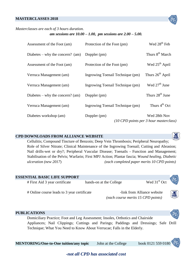#### **MASTERCLASSES 2018**

*Masterclasses are each of 3 hours duration. am sessions are 10.00 – 1.00, pm sessions are 2.00 – 5.00.*

| Assessment of the Foot (am)        | Protection of the Foot (pm)      | Wed $28th$ Feb                                         |
|------------------------------------|----------------------------------|--------------------------------------------------------|
| Diabetes – why the concern? $(am)$ | Doppler (pm)                     | Thurs 8 <sup>th</sup> March                            |
| Assessment of the Foot (am)        | Protection of the Foot (pm)      | Wed 25 <sup>th</sup> April                             |
| Verruca Management (am)            | Ingrowing Toenail Technique (pm) | Thurs 26 <sup>th</sup> April                           |
| Verruca Management (am)            | Ingrowing Toenail Technique (pm) | Wed $27th$ June                                        |
| Diabetes – why the concern? $(am)$ | Doppler (pm)                     | Thurs 28 <sup>th</sup> June                            |
| Verruca Management (am)            | Ingrowing Toenail Technique (pm) | Thurs $4th$ Oct                                        |
| Diabetes workshop (am)             | Doppler (pm)                     | Wed 28th Nov<br>(10 CPD points per 3 hour masterclass) |

#### **CPD DOWNLOADS FROM ALLIANCE WEBSITE**

Cellulitis; Compound Tincture of Benzoin; Deep Vein Thrombosis; Peripheral Neuropathy; Role of Silver Nitrate; Clinical Maintenance of the Ingrowing Toenail; Cutting and Abrasion; Nail drills-wet or dry?; Peripheral Vascular Disease; Toenails - Function and Management; Stabilisation of the Pelvis; Warfarin; First MPJ Action; Plantar fascia; *Wound healing, Diabetic ulceration (new 2017*) *(each completed paper merits 10 CPD points)*

#### **ESSENTIAL BASIC LIFE SUPPORT**

# First Aid 3 year certificate hands-on at the College Wed 31st Oct

# Online course leads to 3 year certificate -link from Alliance website

 *(each course merits 15 CPD points)*





**MENTORING/One-to-One tuition/any topic** John at the College book 0121 559 0180

*-not all CPD has associated cost*

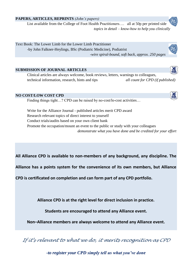#### **PAPERS, ARTICLES, REPRINTS** *(John's papers)*

List available from the College of Foot Health Practitioners…. all at 50p per printed side *topics in detail – know-how to help you clinically*

Text Book: The Lower Limb for the Lower Limb Practitioner -by John Falkner-Heylings, BSc (Podiatric Medicine), Podiatrist *-wire spiral-bound, soft back, approx. 250 pages*

#### **SUBMISSION OF JOURNAL ARTICLES**

Clinical articles are always welcome, book reviews, letters, warnings to colleagues, technical information, research, hints and tips *all count for CPD (if published)*

#### **NO COST/LOW COST CPD**

Finding things tight...? CPD can be raised by no-cost/lo-cost activities...

Write for the Alliance Journal - published articles merit CPD award Research relevant topics of direct interest to yourself Conduct trials/audits based on your own client bank Promote the occupation/mount an event to the public or study with your colleagues *demonstrate what you have done and be credited for your effort*

**All Alliance CPD is available to non-members of any background, any discipline. The** 

**Alliance has a points system for the convenience of its own members, but Alliance** 

**CPD is certificated on completion and can form part of any CPD portfolio.**

**Alliance CPD is at the right level for direct inclusion in practice.**

**Students are encouraged to attend any Alliance event.**

**Non–Alliance members are always welcome to attend any Alliance event.**

*If it's relevant to what we do, it merits recognition as CPD*

*-to register your CPD simply tell us what you've done*





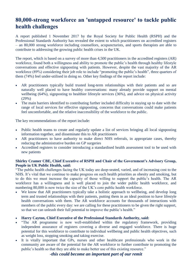### **80,000-strong workforce an 'untapped resource' to tackle public health challenges**

A [report](https://www.professionalstandards.org.uk/docs/default-source/publications/untapped-resources---accredited-registers-in-the-wider-workforce-november-2017.pdf?sfvrsn=0) published 1 November 2017 by the [Royal Society for Public Health](https://www.rsph.org.uk/) (RSPH) and the [Professional Standards Authority](http://www.professionalstandards.org.uk/) has revealed the extent to which practitioners on accredited registers – an 80,000 strong workforce including counsellors, acupuncturists, and sports therapists are able to contribute to addressing the growing public health crises in the UK.

The [report,](https://www.professionalstandards.org.uk/docs/default-source/publications/untapped-resources---accredited-registers-in-the-wider-workforce-november-2017.pdf?sfvrsn=0) which is based on a survey of more than 4,500 practitioners in the accredited registers (AR) workforce, found both a willingness and ability to promote the public's health through healthy lifestyle conversations and effective signposting with patients. However, despite the vast majority of the AR workforce (89%) considering their job role to include "promoting the public's health", three quarters of them (74%) feel under-utilised in doing so. Other key findings of the report include:

- AR practitioners typically build trusted long-term relationships with their patients and so are naturally well placed to have healthy conversations: many already provide support on mental wellbeing (64%), signposting to healthier lifestyle services (36%), and advice on physical activity (29%)
- The main barriers identified to contributing further included difficulty in staying up to date with the range of local services for effective signposting, concerns that conversations could make patients feel uncomfortable, and the relative inaccessibility of the workforce to the public.

The key recommendations of the report include:

- Public health teams to create and regularly update a list of services bringing all local signposting information together, and disseminate this to AR practitioners
- AR practitioners to have authority to make direct NHS referrals, in appropriate cases, thereby reducing the administrative burden on GP surgeries
- Accredited registers to consider introducing a standardised health assessment tool to be used with new patients

#### **Shirley Cramer CBE, Chief Executive of RSPH and Chair of the Government's Advisory Group, People in UK Public Health, said:**

"The public health challenges facing the UK today are deep-seated, varied, and of increasing cost to the NHS. It's vital that we continue to make progress on such health priorities as obesity and smoking, but to do this we must increase the capacity of those willing to support the public's health. The AR workforce has a willingness and is well placed to join the wider public health workforce, and numbering 80,000 is now twice the size of the UK's core public health workforce.

- We know that AR practitioners typically take a holistic approach to wellbeing, and develop long term and trusted relationships with their patients, putting them in an ideal position to have lifestyle health conversations with them. The AR workforce accounts for thousands of interactions with members of the public every day: we are calling for these practitioners to be given the right support, so that we can unleash their full potential to improve the public's health."
- **Harry Cayton, Chief Executive of the Professional Standards Authority, said:**
- "The AR programme is now well-established within the regulatory framework, providing independent assurance of registers covering a diverse and engaged workforce. There is huge potential for this workforce to contribute to individual wellbeing and public health objectives, such as weight loss, stopping smoking and taking exercise.
- It is vitally important that GPs, nurses and other healthcare professionals who work in the community are aware of the potential for the AR workforce to further contribute to promoting the public's health so that they are able to make better use of this existing resource."

#### *-this could become an important part of our remit*